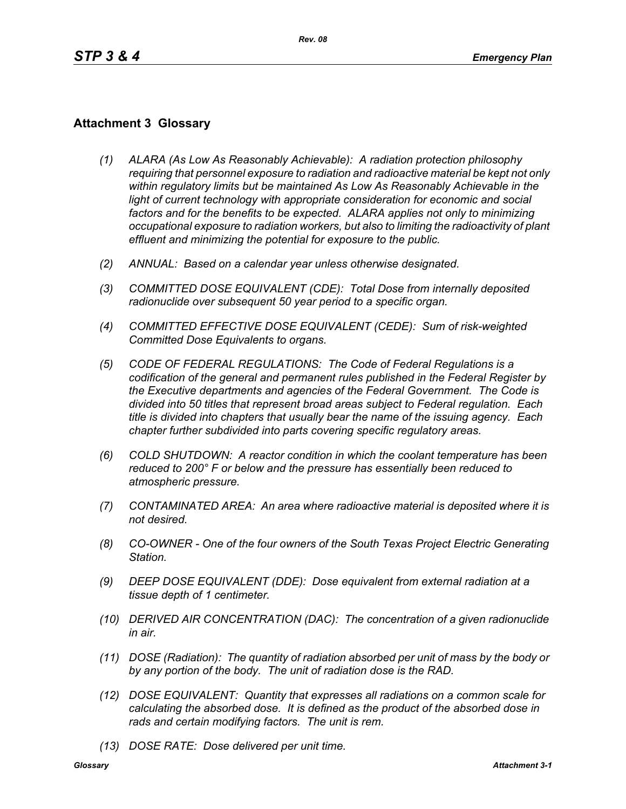## **Attachment 3 Glossary**

- *(1) ALARA (As Low As Reasonably Achievable): A radiation protection philosophy requiring that personnel exposure to radiation and radioactive material be kept not only within regulatory limits but be maintained As Low As Reasonably Achievable in the*  light of current technology with appropriate consideration for economic and social *factors and for the benefits to be expected. ALARA applies not only to minimizing occupational exposure to radiation workers, but also to limiting the radioactivity of plant effluent and minimizing the potential for exposure to the public.*
- *(2) ANNUAL: Based on a calendar year unless otherwise designated.*
- *(3) COMMITTED DOSE EQUIVALENT (CDE): Total Dose from internally deposited radionuclide over subsequent 50 year period to a specific organ.*
- *(4) COMMITTED EFFECTIVE DOSE EQUIVALENT (CEDE): Sum of risk-weighted Committed Dose Equivalents to organs.*
- *(5) CODE OF FEDERAL REGULATIONS: The Code of Federal Regulations is a codification of the general and permanent rules published in the Federal Register by the Executive departments and agencies of the Federal Government. The Code is divided into 50 titles that represent broad areas subject to Federal regulation. Each title is divided into chapters that usually bear the name of the issuing agency. Each chapter further subdivided into parts covering specific regulatory areas.*
- *(6) COLD SHUTDOWN: A reactor condition in which the coolant temperature has been reduced to 200° F or below and the pressure has essentially been reduced to atmospheric pressure.*
- *(7) CONTAMINATED AREA: An area where radioactive material is deposited where it is not desired.*
- *(8) CO-OWNER One of the four owners of the South Texas Project Electric Generating Station.*
- *(9) DEEP DOSE EQUIVALENT (DDE): Dose equivalent from external radiation at a tissue depth of 1 centimeter.*
- *(10) DERIVED AIR CONCENTRATION (DAC): The concentration of a given radionuclide in air.*
- *(11) DOSE (Radiation): The quantity of radiation absorbed per unit of mass by the body or by any portion of the body. The unit of radiation dose is the RAD.*
- *(12) DOSE EQUIVALENT: Quantity that expresses all radiations on a common scale for calculating the absorbed dose. It is defined as the product of the absorbed dose in rads and certain modifying factors. The unit is rem.*
- *(13) DOSE RATE: Dose delivered per unit time.*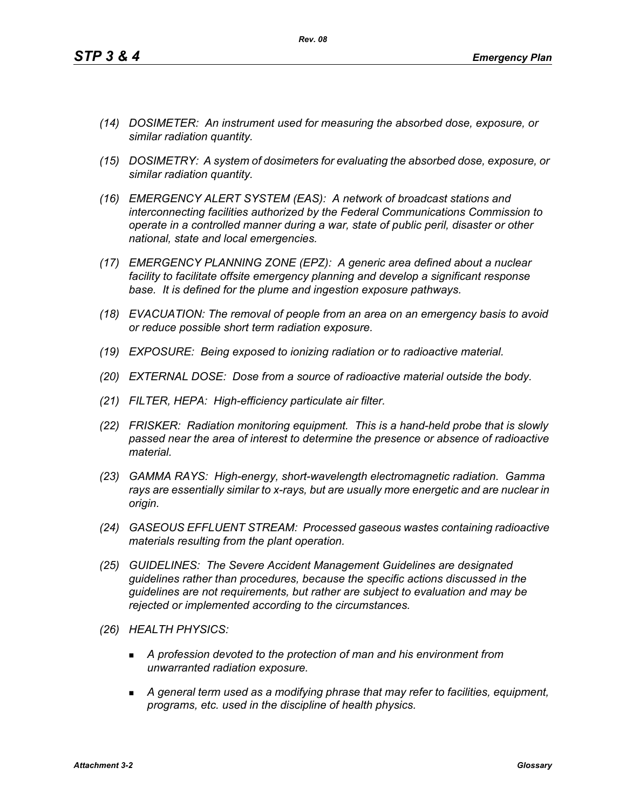- *(14) DOSIMETER: An instrument used for measuring the absorbed dose, exposure, or similar radiation quantity.*
- *(15) DOSIMETRY: A system of dosimeters for evaluating the absorbed dose, exposure, or similar radiation quantity.*
- *(16) EMERGENCY ALERT SYSTEM (EAS): A network of broadcast stations and interconnecting facilities authorized by the Federal Communications Commission to operate in a controlled manner during a war, state of public peril, disaster or other national, state and local emergencies.*
- *(17) EMERGENCY PLANNING ZONE (EPZ): A generic area defined about a nuclear facility to facilitate offsite emergency planning and develop a significant response base. It is defined for the plume and ingestion exposure pathways.*
- *(18) EVACUATION: The removal of people from an area on an emergency basis to avoid or reduce possible short term radiation exposure.*
- *(19) EXPOSURE: Being exposed to ionizing radiation or to radioactive material.*
- *(20) EXTERNAL DOSE: Dose from a source of radioactive material outside the body.*
- *(21) FILTER, HEPA: High-efficiency particulate air filter.*
- *(22) FRISKER: Radiation monitoring equipment. This is a hand-held probe that is slowly passed near the area of interest to determine the presence or absence of radioactive material.*
- *(23) GAMMA RAYS: High-energy, short-wavelength electromagnetic radiation. Gamma rays are essentially similar to x-rays, but are usually more energetic and are nuclear in origin.*
- *(24) GASEOUS EFFLUENT STREAM: Processed gaseous wastes containing radioactive materials resulting from the plant operation.*
- *(25) GUIDELINES: The Severe Accident Management Guidelines are designated guidelines rather than procedures, because the specific actions discussed in the guidelines are not requirements, but rather are subject to evaluation and may be rejected or implemented according to the circumstances.*
- *(26) HEALTH PHYSICS:*
	- *A profession devoted to the protection of man and his environment from unwarranted radiation exposure.*
	- *A general term used as a modifying phrase that may refer to facilities, equipment, programs, etc. used in the discipline of health physics.*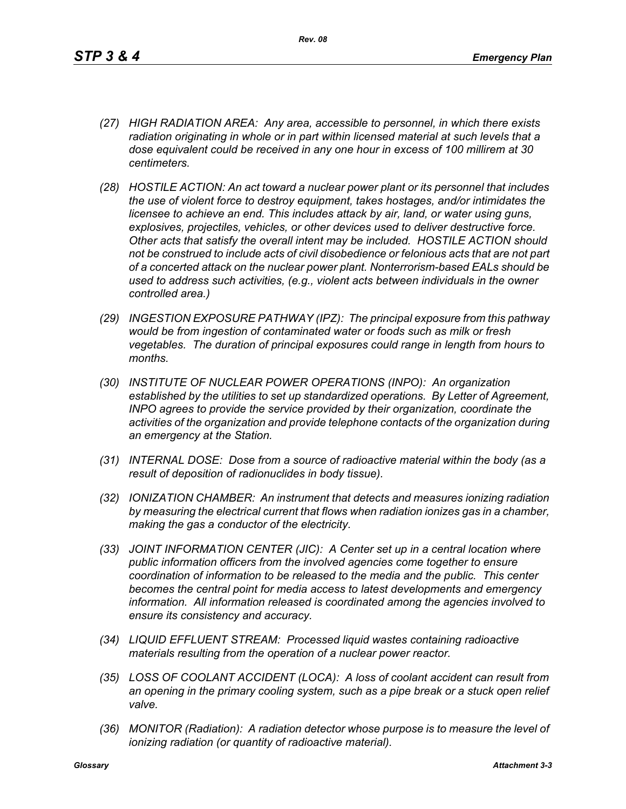- *(27) HIGH RADIATION AREA: Any area, accessible to personnel, in which there exists radiation originating in whole or in part within licensed material at such levels that a dose equivalent could be received in any one hour in excess of 100 millirem at 30 centimeters.*
- *(28) HOSTILE ACTION: An act toward a nuclear power plant or its personnel that includes the use of violent force to destroy equipment, takes hostages, and/or intimidates the licensee to achieve an end. This includes attack by air, land, or water using guns, explosives, projectiles, vehicles, or other devices used to deliver destructive force. Other acts that satisfy the overall intent may be included. HOSTILE ACTION should not be construed to include acts of civil disobedience or felonious acts that are not part of a concerted attack on the nuclear power plant. Nonterrorism-based EALs should be used to address such activities, (e.g., violent acts between individuals in the owner controlled area.)*
- *(29) INGESTION EXPOSURE PATHWAY (IPZ): The principal exposure from this pathway would be from ingestion of contaminated water or foods such as milk or fresh vegetables. The duration of principal exposures could range in length from hours to months.*
- *(30) INSTITUTE OF NUCLEAR POWER OPERATIONS (INPO): An organization established by the utilities to set up standardized operations. By Letter of Agreement, INPO agrees to provide the service provided by their organization, coordinate the activities of the organization and provide telephone contacts of the organization during an emergency at the Station.*
- *(31) INTERNAL DOSE: Dose from a source of radioactive material within the body (as a result of deposition of radionuclides in body tissue).*
- *(32) IONIZATION CHAMBER: An instrument that detects and measures ionizing radiation by measuring the electrical current that flows when radiation ionizes gas in a chamber, making the gas a conductor of the electricity.*
- *(33) JOINT INFORMATION CENTER (JIC): A Center set up in a central location where public information officers from the involved agencies come together to ensure coordination of information to be released to the media and the public. This center becomes the central point for media access to latest developments and emergency information. All information released is coordinated among the agencies involved to ensure its consistency and accuracy.*
- *(34) LIQUID EFFLUENT STREAM: Processed liquid wastes containing radioactive materials resulting from the operation of a nuclear power reactor.*
- *(35) LOSS OF COOLANT ACCIDENT (LOCA): A loss of coolant accident can result from an opening in the primary cooling system, such as a pipe break or a stuck open relief valve.*
- *(36) MONITOR (Radiation): A radiation detector whose purpose is to measure the level of ionizing radiation (or quantity of radioactive material).*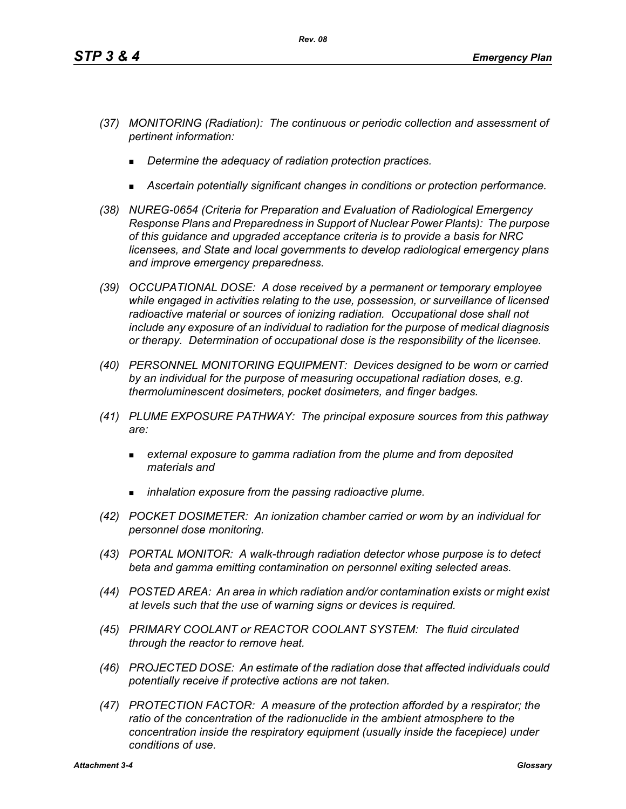- *(37) MONITORING (Radiation): The continuous or periodic collection and assessment of pertinent information:*
	- *Determine the adequacy of radiation protection practices.*
	- *Ascertain potentially significant changes in conditions or protection performance.*
- *(38) NUREG-0654 (Criteria for Preparation and Evaluation of Radiological Emergency Response Plans and Preparedness in Support of Nuclear Power Plants): The purpose of this guidance and upgraded acceptance criteria is to provide a basis for NRC licensees, and State and local governments to develop radiological emergency plans and improve emergency preparedness.*
- *(39) OCCUPATIONAL DOSE: A dose received by a permanent or temporary employee while engaged in activities relating to the use, possession, or surveillance of licensed radioactive material or sources of ionizing radiation. Occupational dose shall not include any exposure of an individual to radiation for the purpose of medical diagnosis or therapy. Determination of occupational dose is the responsibility of the licensee.*
- *(40) PERSONNEL MONITORING EQUIPMENT: Devices designed to be worn or carried by an individual for the purpose of measuring occupational radiation doses, e.g. thermoluminescent dosimeters, pocket dosimeters, and finger badges.*
- *(41) PLUME EXPOSURE PATHWAY: The principal exposure sources from this pathway are:*
	- *external exposure to gamma radiation from the plume and from deposited materials and*
	- *inhalation exposure from the passing radioactive plume.*
- *(42) POCKET DOSIMETER: An ionization chamber carried or worn by an individual for personnel dose monitoring.*
- *(43) PORTAL MONITOR: A walk-through radiation detector whose purpose is to detect beta and gamma emitting contamination on personnel exiting selected areas.*
- *(44) POSTED AREA: An area in which radiation and/or contamination exists or might exist at levels such that the use of warning signs or devices is required.*
- *(45) PRIMARY COOLANT or REACTOR COOLANT SYSTEM: The fluid circulated through the reactor to remove heat.*
- *(46) PROJECTED DOSE: An estimate of the radiation dose that affected individuals could potentially receive if protective actions are not taken.*
- *(47) PROTECTION FACTOR: A measure of the protection afforded by a respirator; the*  ratio of the concentration of the radionuclide in the ambient atmosphere to the *concentration inside the respiratory equipment (usually inside the facepiece) under conditions of use.*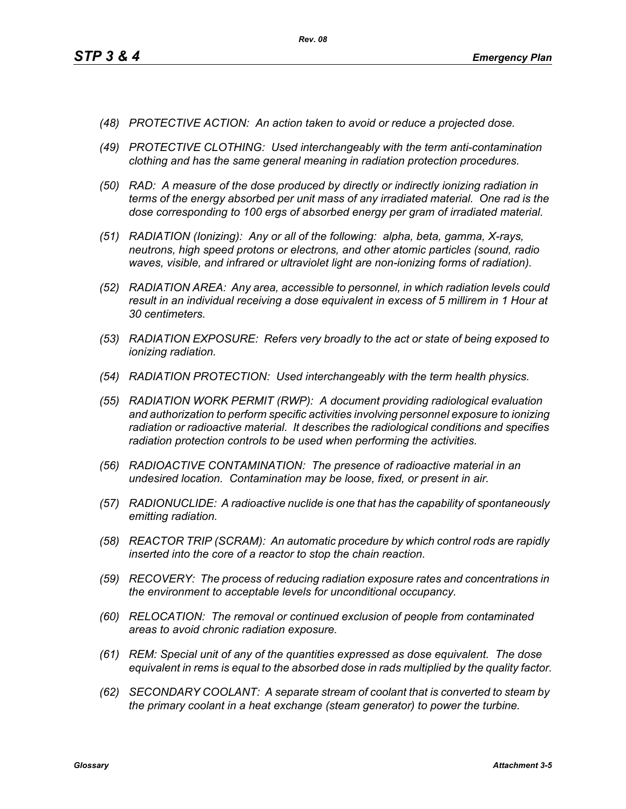- *(48) PROTECTIVE ACTION: An action taken to avoid or reduce a projected dose.*
- *(49) PROTECTIVE CLOTHING: Used interchangeably with the term anti-contamination clothing and has the same general meaning in radiation protection procedures.*
- *(50) RAD: A measure of the dose produced by directly or indirectly ionizing radiation in terms of the energy absorbed per unit mass of any irradiated material. One rad is the dose corresponding to 100 ergs of absorbed energy per gram of irradiated material.*
- *(51) RADIATION (Ionizing): Any or all of the following: alpha, beta, gamma, X-rays, neutrons, high speed protons or electrons, and other atomic particles (sound, radio waves, visible, and infrared or ultraviolet light are non-ionizing forms of radiation).*
- *(52) RADIATION AREA: Any area, accessible to personnel, in which radiation levels could result in an individual receiving a dose equivalent in excess of 5 millirem in 1 Hour at 30 centimeters.*
- *(53) RADIATION EXPOSURE: Refers very broadly to the act or state of being exposed to ionizing radiation.*
- *(54) RADIATION PROTECTION: Used interchangeably with the term health physics.*
- *(55) RADIATION WORK PERMIT (RWP): A document providing radiological evaluation and authorization to perform specific activities involving personnel exposure to ionizing radiation or radioactive material. It describes the radiological conditions and specifies radiation protection controls to be used when performing the activities.*
- *(56) RADIOACTIVE CONTAMINATION: The presence of radioactive material in an undesired location. Contamination may be loose, fixed, or present in air.*
- *(57) RADIONUCLIDE: A radioactive nuclide is one that has the capability of spontaneously emitting radiation.*
- *(58) REACTOR TRIP (SCRAM): An automatic procedure by which control rods are rapidly inserted into the core of a reactor to stop the chain reaction.*
- *(59) RECOVERY: The process of reducing radiation exposure rates and concentrations in the environment to acceptable levels for unconditional occupancy.*
- *(60) RELOCATION: The removal or continued exclusion of people from contaminated areas to avoid chronic radiation exposure.*
- *(61) REM: Special unit of any of the quantities expressed as dose equivalent. The dose equivalent in rems is equal to the absorbed dose in rads multiplied by the quality factor.*
- *(62) SECONDARY COOLANT: A separate stream of coolant that is converted to steam by the primary coolant in a heat exchange (steam generator) to power the turbine.*